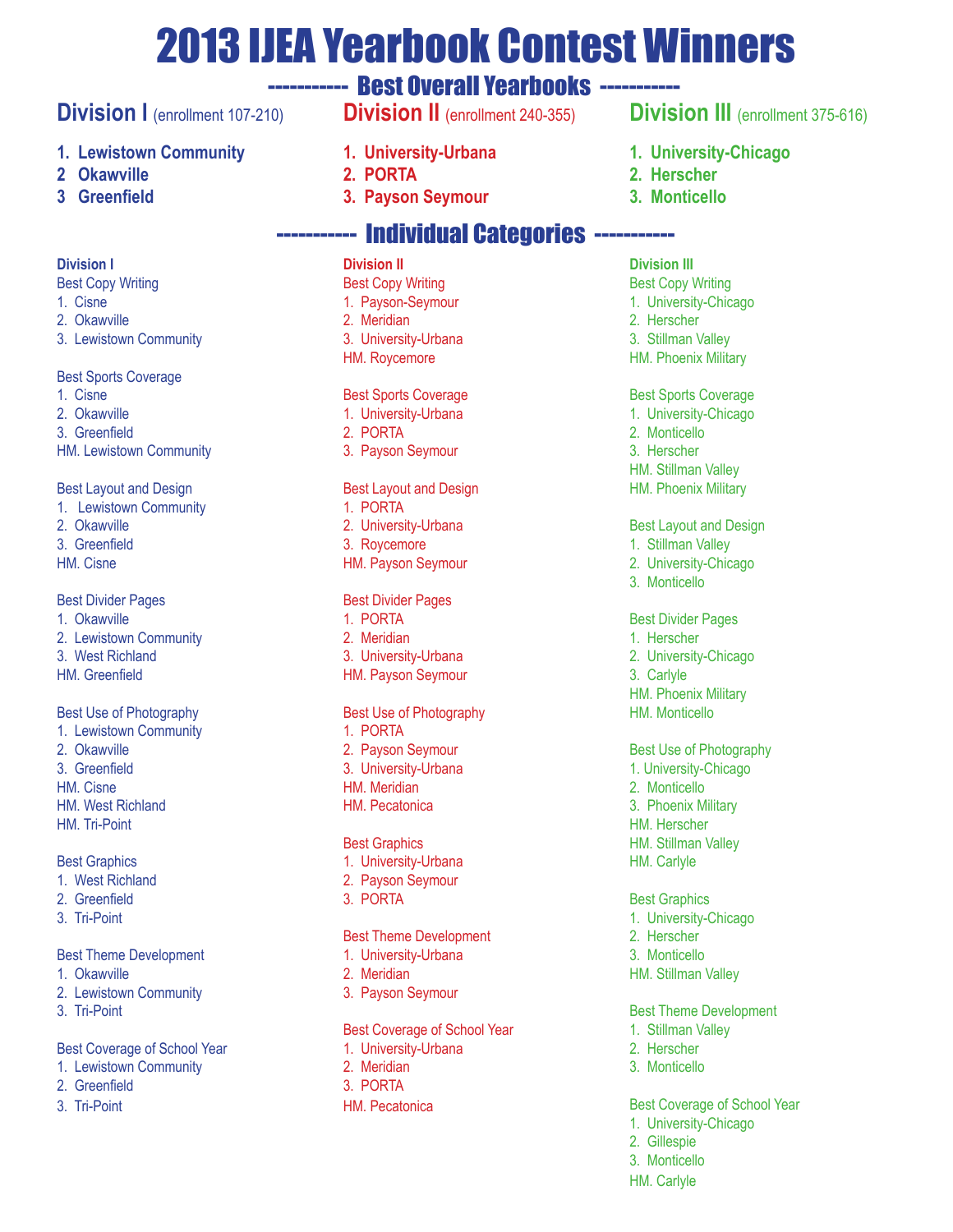# 2013 IJEA Yearbook Contest Winners

# ----------- Best Overall Yearbooks -----------

# **Division I** (enrollment 107-210)

## **1. Lewistown Community**

- **2 Okawville**
- **3 Greenfield**

### **Division I**

- Best Copy Writing
- 1. Cisne
- 2. Okawville
- 3. Lewistown Community

### Best Sports Coverage

- 1. Cisne
- 2. Okawville
- 3. Greenfield
- HM. Lewistown Community

### Best Layout and Design

- 1. Lewistown Community 2. Okawville
- 3. Greenfield
- HM. Cisne

### Best Divider Pages

- 1. Okawville
- 2. Lewistown Community
- 3. West Richland
- HM. Greenfield

### Best Use of Photography

- 1. Lewistown Community 2. Okawville 3. Greenfield
- HM. Cisne
- HM. West Richland
- HM. Tri-Point

### Best Graphics

- 1. West Richland
- 2. Greenfield
- 3. Tri-Point

### Best Theme Development

- 1. Okawville
- 2. Lewistown Community
- 3. Tri-Point

### Best Coverage of School Year

- 1. Lewistown Community
- 2. Greenfield
- 3. Tri-Point
- **Division II** (enrollment 240-355)
- **1. University-Urbana**
- **2. PORTA**
- **3. Payson Seymour**

# ----------- Individual Categories -----------

### **Division II**

- Best Copy Writing 1. Payson-Seymour 2. Meridian
- 3. University-Urbana HM. Roycemore

### Best Sports Coverage

- 1. University-Urbana
- 2. PORTA
- 3. Payson Seymour

### Best Layout and Design

- 1. PORTA
- 2. University-Urbana
- 3. Roycemore
- HM. Payson Seymour

### Best Divider Pages

- 1. PORTA
- 2. Meridian
- 3. University-Urbana
- HM. Payson Seymour

### Best Use of Photography

- 1. PORTA
- 2. Payson Seymour 3. University-Urbana
- HM. Meridian
- HM. Pecatonica

### Best Graphics

- 1. University-Urbana
- 2. Payson Seymour
- 3. PORTA

### Best Theme Development

- 1. University-Urbana
- 2. Meridian
- 3. Payson Seymour

### Best Coverage of School Year

- 1. University-Urbana
- 2. Meridian
- 3. PORTA
- HM. Pecatonica

# **Division III** (enrollment 375-616)

- **1. University-Chicago**
- **2. Herscher**
- **3. Monticello**

### **Division III**

- Best Copy Writing 1. University-Chicago 2. Herscher
- 3. Stillman Valley
- HM. Phoenix Military

#### Best Sports Coverage

- 1. University-Chicago
- 2. Monticello
- 3. Herscher
- HM. Stillman Valley
- HM. Phoenix Military

#### Best Layout and Design

1. Stillman Valley

Best Divider Pages 1. Herscher

2. University-Chicago

HM. Phoenix Military HM. Monticello

Best Use of Photography 1. University-Chicago 2. Monticello 3. Phoenix Military HM. Herscher HM. Stillman Valley HM. Carlyle

- 2. University-Chicago
- 3. Monticello

3. Carlyle

Best Graphics 1. University-Chicago

2. Herscher 3. Monticello HM. Stillman Valley

2. Gillespie 3. Monticello HM. Carlyle

Best Theme Development 1. Stillman Valley 2. Herscher 3. Monticello

Best Coverage of School Year 1. University-Chicago